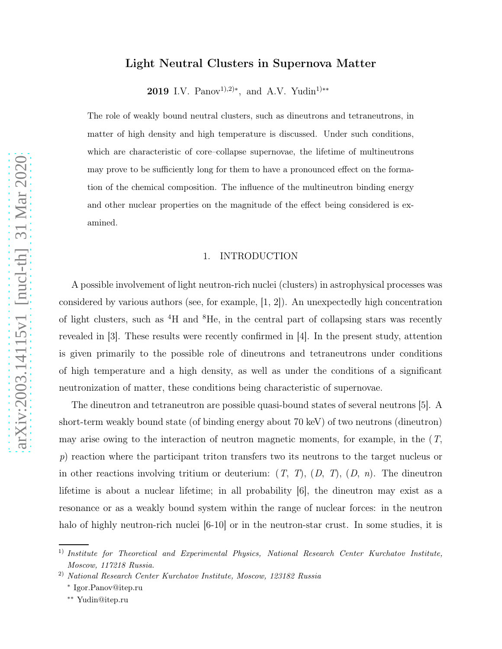# Light Neutral Clusters in Supernova Matter

2019 I.V. Panov<sup>1),2)\*</sup>, and A.V. Yudin<sup>1)\*\*</sup>

The role of weakly bound neutral clusters, such as dineutrons and tetraneutrons, in matter of high density and high temperature is discussed. Under such conditions, which are characteristic of core–collapse supernovae, the lifetime of multineutrons may prove to be sufficiently long for them to have a pronounced effect on the formation of the chemical composition. The influence of the multineutron binding energy and other nuclear properties on the magnitude of the effect being considered is examined.

#### 1. INTRODUCTION

A possible involvement of light neutron-rich nuclei (clusters) in astrophysical processes was considered by various authors (see, for example, [1, 2]). An unexpectedly high concentration of light clusters, such as <sup>4</sup>H and <sup>8</sup>He, in the central part of collapsing stars was recently revealed in [3]. These results were recently confirmed in [4]. In the present study, attention is given primarily to the possible role of dineutrons and tetraneutrons under conditions of high temperature and a high density, as well as under the conditions of a significant neutronization of matter, these conditions being characteristic of supernovae.

The dineutron and tetraneutron are possible quasi-bound states of several neutrons [5]. A short-term weakly bound state (of binding energy about 70 keV) of two neutrons (dineutron) may arise owing to the interaction of neutron magnetic moments, for example, in the  $(T,$ p) reaction where the participant triton transfers two its neutrons to the target nucleus or in other reactions involving tritium or deuterium:  $(T, T), (D, T), (D, n)$ . The dineutron lifetime is about a nuclear lifetime; in all probability [6], the dineutron may exist as a resonance or as a weakly bound system within the range of nuclear forces: in the neutron halo of highly neutron-rich nuclei  $[6-10]$  or in the neutron-star crust. In some studies, it is

<sup>&</sup>lt;sup>1)</sup> Institute for Theoretical and Experimental Physics, National Research Center Kurchatov Institute, Moscow, 117218 Russia.

<sup>2)</sup> National Research Center Kurchatov Institute, Moscow, 123182 Russia

<sup>∗</sup> Igor.Panov@itep.ru

<sup>∗∗</sup> Yudin@itep.ru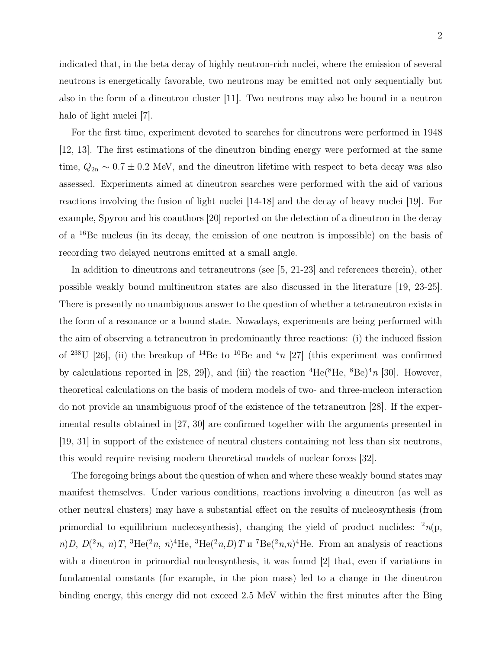indicated that, in the beta decay of highly neutron-rich nuclei, where the emission of several neutrons is energetically favorable, two neutrons may be emitted not only sequentially but also in the form of a dineutron cluster [11]. Two neutrons may also be bound in a neutron halo of light nuclei [7].

For the first time, experiment devoted to searches for dineutrons were performed in 1948 [12, 13]. The first estimations of the dineutron binding energy were performed at the same time,  $Q_{2n} \sim 0.7 \pm 0.2$  MeV, and the dineutron lifetime with respect to beta decay was also assessed. Experiments aimed at dineutron searches were performed with the aid of various reactions involving the fusion of light nuclei [14-18] and the decay of heavy nuclei [19]. For example, Spyrou and his coauthors [20] reported on the detection of a dineutron in the decay of a <sup>16</sup>Be nucleus (in its decay, the emission of one neutron is impossible) on the basis of recording two delayed neutrons emitted at a small angle.

In addition to dineutrons and tetraneutrons (see [5, 21-23] and references therein), other possible weakly bound multineutron states are also discussed in the literature [19, 23-25]. There is presently no unambiguous answer to the question of whether a tetraneutron exists in the form of a resonance or a bound state. Nowadays, experiments are being performed with the aim of observing a tetraneutron in predominantly three reactions: (i) the induced fission of <sup>238</sup>U [26], (ii) the breakup of <sup>14</sup>Be to <sup>10</sup>Be and <sup>4</sup>n [27] (this experiment was confirmed by calculations reported in [28, 29]), and (iii) the reaction  ${}^{4}$ He( ${}^{8}$ He,  ${}^{8}$ Be) ${}^{4}n$  [30]. However, theoretical calculations on the basis of modern models of two- and three-nucleon interaction do not provide an unambiguous proof of the existence of the tetraneutron [28]. If the experimental results obtained in [27, 30] are confirmed together with the arguments presented in [19, 31] in support of the existence of neutral clusters containing not less than six neutrons, this would require revising modern theoretical models of nuclear forces [32].

The foregoing brings about the question of when and where these weakly bound states may manifest themselves. Under various conditions, reactions involving a dineutron (as well as other neutral clusters) may have a substantial effect on the results of nucleosynthesis (from primordial to equilibrium nucleosynthesis), changing the yield of product nuclides:  $\binom{2n}{p}$ n)D,  $D(^2n, n)$ T,  ${}^{3}\text{He}({}^{2}n, n){}^{4}\text{He}, {}^{3}\text{He}({}^{2}n, D)$ T u  ${}^{7}\text{Be}({}^{2}n, n){}^{4}\text{He}$ . From an analysis of reactions with a dineutron in primordial nucleosynthesis, it was found [2] that, even if variations in fundamental constants (for example, in the pion mass) led to a change in the dineutron binding energy, this energy did not exceed 2.5 MeV within the first minutes after the Bing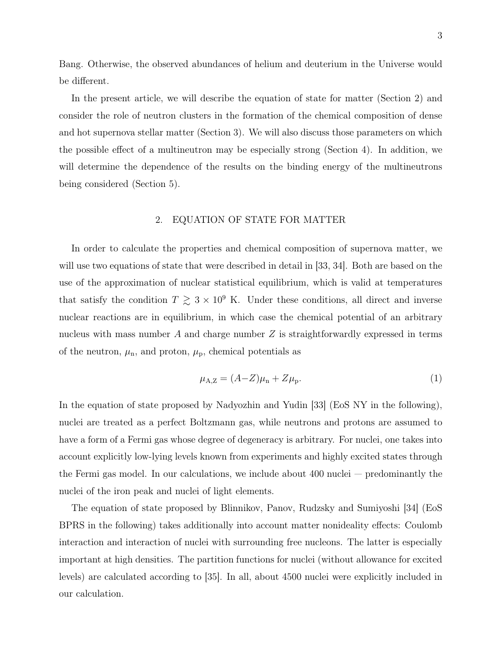Bang. Otherwise, the observed abundances of helium and deuterium in the Universe would be different.

In the present article, we will describe the equation of state for matter (Section 2) and consider the role of neutron clusters in the formation of the chemical composition of dense and hot supernova stellar matter (Section 3). We will also discuss those parameters on which the possible effect of a multineutron may be especially strong (Section 4). In addition, we will determine the dependence of the results on the binding energy of the multineutrons being considered (Section 5).

## 2. EQUATION OF STATE FOR MATTER

In order to calculate the properties and chemical composition of supernova matter, we will use two equations of state that were described in detail in [33, 34]. Both are based on the use of the approximation of nuclear statistical equilibrium, which is valid at temperatures that satisfy the condition  $T \gtrsim 3 \times 10^9$  K. Under these conditions, all direct and inverse nuclear reactions are in equilibrium, in which case the chemical potential of an arbitrary nucleus with mass number  $A$  and charge number  $Z$  is straightforwardly expressed in terms of the neutron,  $\mu_{\rm n}$ , and proton,  $\mu_{\rm p}$ , chemical potentials as

$$
\mu_{A,Z} = (A - Z)\mu_n + Z\mu_p. \tag{1}
$$

In the equation of state proposed by Nadyozhin and Yudin [33] (EoS NY in the following), nuclei are treated as a perfect Boltzmann gas, while neutrons and protons are assumed to have a form of a Fermi gas whose degree of degeneracy is arbitrary. For nuclei, one takes into account explicitly low-lying levels known from experiments and highly excited states through the Fermi gas model. In our calculations, we include about 400 nuclei — predominantly the nuclei of the iron peak and nuclei of light elements.

The equation of state proposed by Blinnikov, Panov, Rudzsky and Sumiyoshi [34] (EoS BPRS in the following) takes additionally into account matter nonideality effects: Coulomb interaction and interaction of nuclei with surrounding free nucleons. The latter is especially important at high densities. The partition functions for nuclei (without allowance for excited levels) are calculated according to [35]. In all, about 4500 nuclei were explicitly included in our calculation.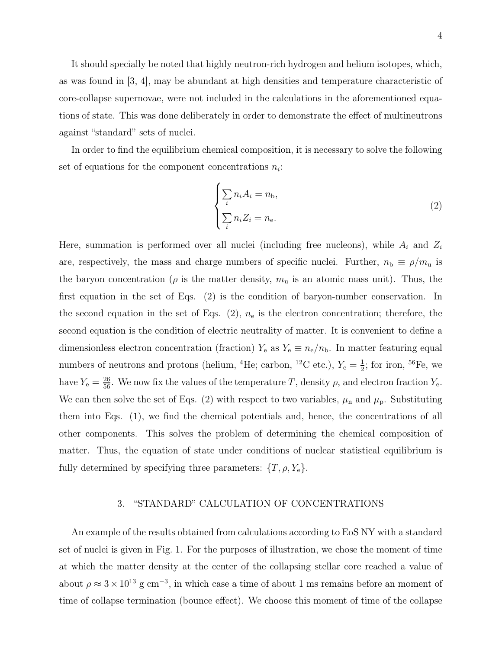It should specially be noted that highly neutron-rich hydrogen and helium isotopes, which, as was found in [3, 4], may be abundant at high densities and temperature characteristic of core-collapse supernovae, were not included in the calculations in the aforementioned equations of state. This was done deliberately in order to demonstrate the effect of multineutrons against "standard" sets of nuclei.

In order to find the equilibrium chemical composition, it is necessary to solve the following set of equations for the component concentrations  $n_i$ :

$$
\begin{cases} \sum_{i} n_i A_i = n_{\rm b}, \\ \sum_{i} n_i Z_i = n_{\rm e}. \end{cases}
$$
 (2)

Here, summation is performed over all nuclei (including free nucleons), while  $A_i$  and  $Z_i$ are, respectively, the mass and charge numbers of specific nuclei. Further,  $n_{\rm b} \equiv \rho/m_{\rm u}$  is the baryon concentration ( $\rho$  is the matter density,  $m_u$  is an atomic mass unit). Thus, the first equation in the set of Eqs. (2) is the condition of baryon-number conservation. In the second equation in the set of Eqs.  $(2)$ ,  $n_e$  is the electron concentration; therefore, the second equation is the condition of electric neutrality of matter. It is convenient to define a dimensionless electron concentration (fraction)  $Y_e$  as  $Y_e \equiv n_e/n_b$ . In matter featuring equal numbers of neutrons and protons (helium, <sup>4</sup>He; carbon, <sup>12</sup>C etc.),  $Y_e = \frac{1}{2}$  $\frac{1}{2}$ ; for iron, <sup>56</sup>Fe, we have  $Y_e = \frac{26}{56}$ . We now fix the values of the temperature T, density  $\rho$ , and electron fraction  $Y_e$ . We can then solve the set of Eqs. (2) with respect to two variables,  $\mu_n$  and  $\mu_p$ . Substituting them into Eqs. (1), we find the chemical potentials and, hence, the concentrations of all other components. This solves the problem of determining the chemical composition of matter. Thus, the equation of state under conditions of nuclear statistical equilibrium is fully determined by specifying three parameters:  $\{T, \rho, Y_e\}.$ 

#### 3. "STANDARD" CALCULATION OF CONCENTRATIONS

An example of the results obtained from calculations according to EoS NY with a standard set of nuclei is given in Fig. 1. For the purposes of illustration, we chose the moment of time at which the matter density at the center of the collapsing stellar core reached a value of about  $\rho \approx 3 \times 10^{13}$  g cm<sup>-3</sup>, in which case a time of about 1 ms remains before an moment of time of collapse termination (bounce effect). We choose this moment of time of the collapse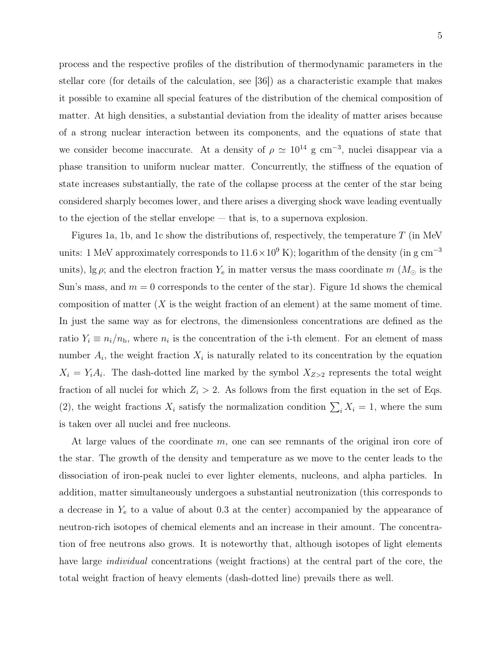process and the respective profiles of the distribution of thermodynamic parameters in the stellar core (for details of the calculation, see [36]) as a characteristic example that makes it possible to examine all special features of the distribution of the chemical composition of matter. At high densities, a substantial deviation from the ideality of matter arises because of a strong nuclear interaction between its components, and the equations of state that we consider become inaccurate. At a density of  $\rho \simeq 10^{14}$  g cm<sup>-3</sup>, nuclei disappear via a phase transition to uniform nuclear matter. Concurrently, the stiffness of the equation of state increases substantially, the rate of the collapse process at the center of the star being considered sharply becomes lower, and there arises a diverging shock wave leading eventually to the ejection of the stellar envelope — that is, to a supernova explosion.

Figures 1a, 1b, and 1c show the distributions of, respectively, the temperature  $T$  (in MeV units: 1 MeV approximately corresponds to  $11.6 \times 10^9$  K); logarithm of the density (in g cm<sup>-3</sup> units),  $\lg \rho$ ; and the electron fraction  $Y_e$  in matter versus the mass coordinate m ( $M_\odot$  is the Sun's mass, and  $m = 0$  corresponds to the center of the star). Figure 1d shows the chemical composition of matter  $(X$  is the weight fraction of an element) at the same moment of time. In just the same way as for electrons, the dimensionless concentrations are defined as the ratio  $Y_i \equiv n_i/n_b$ , where  $n_i$  is the concentration of the i-th element. For an element of mass number  $A_i$ , the weight fraction  $X_i$  is naturally related to its concentration by the equation  $X_i = Y_i A_i$ . The dash-dotted line marked by the symbol  $X_{Z>2}$  represents the total weight fraction of all nuclei for which  $Z_i > 2$ . As follows from the first equation in the set of Eqs. (2), the weight fractions  $X_i$  satisfy the normalization condition  $\sum_i X_i = 1$ , where the sum is taken over all nuclei and free nucleons.

At large values of the coordinate m, one can see remnants of the original iron core of the star. The growth of the density and temperature as we move to the center leads to the dissociation of iron-peak nuclei to ever lighter elements, nucleons, and alpha particles. In addition, matter simultaneously undergoes a substantial neutronization (this corresponds to a decrease in  $Y_e$  to a value of about 0.3 at the center) accompanied by the appearance of neutron-rich isotopes of chemical elements and an increase in their amount. The concentration of free neutrons also grows. It is noteworthy that, although isotopes of light elements have large *individual* concentrations (weight fractions) at the central part of the core, the total weight fraction of heavy elements (dash-dotted line) prevails there as well.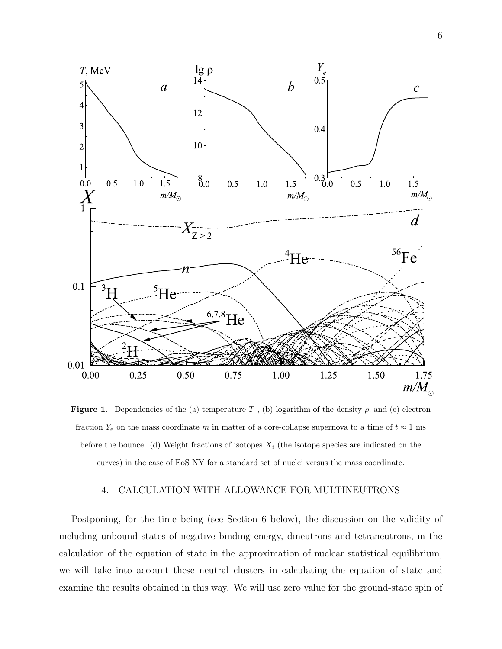

Figure 1. Dependencies of the (a) temperature T, (b) logarithm of the density  $\rho$ , and (c) electron fraction  $Y_e$  on the mass coordinate m in matter of a core-collapse supernova to a time of  $t \approx 1$  ms before the bounce. (d) Weight fractions of isotopes  $X_i$  (the isotope species are indicated on the curves) in the case of EoS NY for a standard set of nuclei versus the mass coordinate.

### 4. CALCULATION WITH ALLOWANCE FOR MULTINEUTRONS

Postponing, for the time being (see Section 6 below), the discussion on the validity of including unbound states of negative binding energy, dineutrons and tetraneutrons, in the calculation of the equation of state in the approximation of nuclear statistical equilibrium, we will take into account these neutral clusters in calculating the equation of state and examine the results obtained in this way. We will use zero value for the ground-state spin of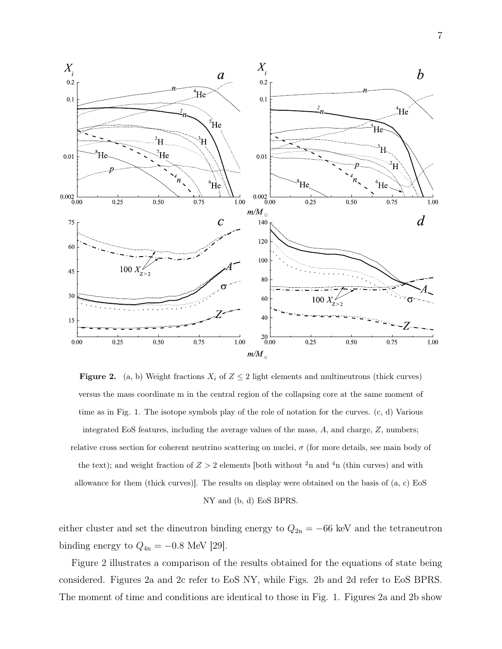

**Figure 2.** (a, b) Weight fractions  $X_i$  of  $Z \leq 2$  light elements and multineutrons (thick curves) versus the mass coordinate m in the central region of the collapsing core at the same moment of time as in Fig. 1. The isotope symbols play of the role of notation for the curves. (c, d) Various integrated EoS features, including the average values of the mass, A, and charge, Z, numbers; relative cross section for coherent neutrino scattering on nuclei,  $\sigma$  (for more details, see main body of the text); and weight fraction of  $Z > 2$  elements [both without <sup>2</sup>n and <sup>4</sup>n (thin curves) and with allowance for them (thick curves)]. The results on display were obtained on the basis of (a, c) EoS NY and (b, d) EoS BPRS.

either cluster and set the dineutron binding energy to  $Q_{2n} = -66$  keV and the tetraneutron binding energy to  $Q_{4n} = -0.8$  MeV [29].

Figure 2 illustrates a comparison of the results obtained for the equations of state being considered. Figures 2a and 2c refer to EoS NY, while Figs. 2b and 2d refer to EoS BPRS. The moment of time and conditions are identical to those in Fig. 1. Figures 2a and 2b show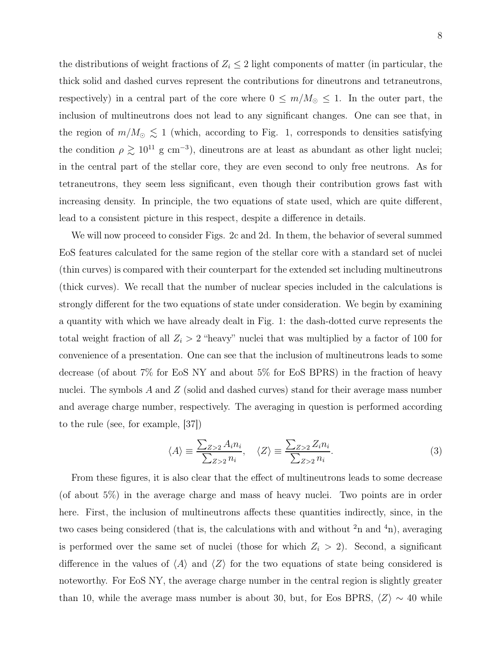the distributions of weight fractions of  $Z_i \leq 2$  light components of matter (in particular, the thick solid and dashed curves represent the contributions for dineutrons and tetraneutrons, respectively) in a central part of the core where  $0 \le m/M_{\odot} \le 1$ . In the outer part, the inclusion of multineutrons does not lead to any significant changes. One can see that, in the region of  $m/M_{\odot} \lesssim 1$  (which, according to Fig. 1, corresponds to densities satisfying the condition  $\rho \gtrsim 10^{11}$  g cm<sup>-3</sup>), dineutrons are at least as abundant as other light nuclei; in the central part of the stellar core, they are even second to only free neutrons. As for tetraneutrons, they seem less significant, even though their contribution grows fast with increasing density. In principle, the two equations of state used, which are quite different, lead to a consistent picture in this respect, despite a difference in details.

We will now proceed to consider Figs. 2c and 2d. In them, the behavior of several summed EoS features calculated for the same region of the stellar core with a standard set of nuclei (thin curves) is compared with their counterpart for the extended set including multineutrons (thick curves). We recall that the number of nuclear species included in the calculations is strongly different for the two equations of state under consideration. We begin by examining a quantity with which we have already dealt in Fig. 1: the dash-dotted curve represents the total weight fraction of all  $Z_i > 2$  "heavy" nuclei that was multiplied by a factor of 100 for convenience of a presentation. One can see that the inclusion of multineutrons leads to some decrease (of about 7% for EoS NY and about 5% for EoS BPRS) in the fraction of heavy nuclei. The symbols A and Z (solid and dashed curves) stand for their average mass number and average charge number, respectively. The averaging in question is performed according to the rule (see, for example, [37])

$$
\langle A \rangle \equiv \frac{\sum_{Z>2} A_i n_i}{\sum_{Z>2} n_i}, \quad \langle Z \rangle \equiv \frac{\sum_{Z>2} Z_i n_i}{\sum_{Z>2} n_i}.
$$
 (3)

From these figures, it is also clear that the effect of multineutrons leads to some decrease (of about 5%) in the average charge and mass of heavy nuclei. Two points are in order here. First, the inclusion of multineutrons affects these quantities indirectly, since, in the two cases being considered (that is, the calculations with and without  $2n$  and  $4n$ ), averaging is performed over the same set of nuclei (those for which  $Z_i > 2$ ). Second, a significant difference in the values of  $\langle A \rangle$  and  $\langle Z \rangle$  for the two equations of state being considered is noteworthy. For EoS NY, the average charge number in the central region is slightly greater than 10, while the average mass number is about 30, but, for Eos BPRS,  $\langle Z \rangle \sim 40$  while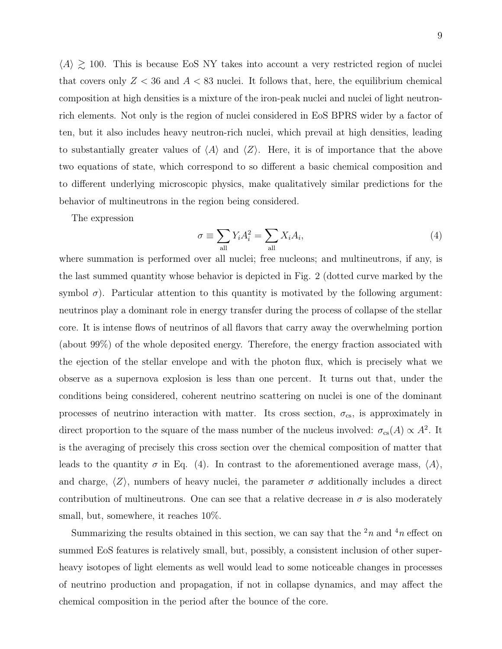$\langle A \rangle \gtrsim 100$ . This is because EoS NY takes into account a very restricted region of nuclei that covers only  $Z < 36$  and  $A < 83$  nuclei. It follows that, here, the equilibrium chemical composition at high densities is a mixture of the iron-peak nuclei and nuclei of light neutronrich elements. Not only is the region of nuclei considered in EoS BPRS wider by a factor of ten, but it also includes heavy neutron-rich nuclei, which prevail at high densities, leading to substantially greater values of  $\langle A \rangle$  and  $\langle Z \rangle$ . Here, it is of importance that the above two equations of state, which correspond to so different a basic chemical composition and to different underlying microscopic physics, make qualitatively similar predictions for the behavior of multineutrons in the region being considered.

The expression

$$
\sigma \equiv \sum_{\text{all}} Y_i A_i^2 = \sum_{\text{all}} X_i A_i,\tag{4}
$$

where summation is performed over all nuclei; free nucleons; and multineutrons, if any, is the last summed quantity whose behavior is depicted in Fig. 2 (dotted curve marked by the symbol  $\sigma$ ). Particular attention to this quantity is motivated by the following argument: neutrinos play a dominant role in energy transfer during the process of collapse of the stellar core. It is intense flows of neutrinos of all flavors that carry away the overwhelming portion (about 99%) of the whole deposited energy. Therefore, the energy fraction associated with the ejection of the stellar envelope and with the photon flux, which is precisely what we observe as a supernova explosion is less than one percent. It turns out that, under the conditions being considered, coherent neutrino scattering on nuclei is one of the dominant processes of neutrino interaction with matter. Its cross section,  $\sigma_{\rm cs}$ , is approximately in direct proportion to the square of the mass number of the nucleus involved:  $\sigma_{cs}(A) \propto A^2$ . It is the averaging of precisely this cross section over the chemical composition of matter that leads to the quantity  $\sigma$  in Eq. (4). In contrast to the aforementioned average mass,  $\langle A \rangle$ , and charge,  $\langle Z \rangle$ , numbers of heavy nuclei, the parameter  $\sigma$  additionally includes a direct contribution of multineutrons. One can see that a relative decrease in  $\sigma$  is also moderately small, but, somewhere, it reaches 10%.

Summarizing the results obtained in this section, we can say that the  $2n$  and  $4n$  effect on summed EoS features is relatively small, but, possibly, a consistent inclusion of other superheavy isotopes of light elements as well would lead to some noticeable changes in processes of neutrino production and propagation, if not in collapse dynamics, and may affect the chemical composition in the period after the bounce of the core.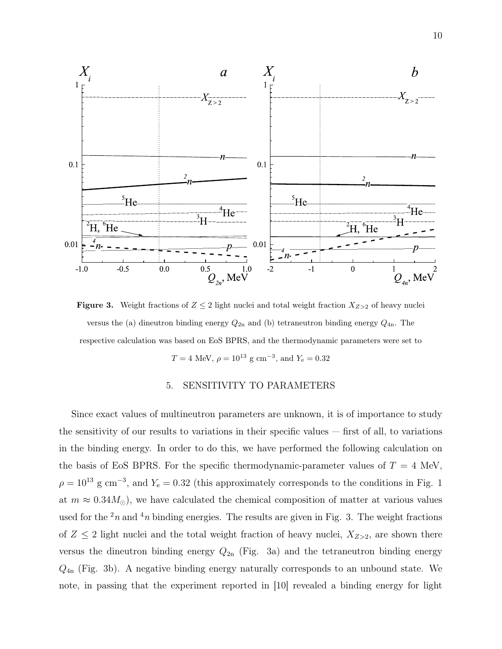

**Figure 3.** Weight fractions of  $Z \leq 2$  light nuclei and total weight fraction  $X_{Z>2}$  of heavy nuclei versus the (a) dineutron binding energy  $Q_{2n}$  and (b) tetraneutron binding energy  $Q_{4n}$ . The respective calculation was based on EoS BPRS, and the thermodynamic parameters were set to  $T = 4$  MeV,  $\rho = 10^{13}$  g cm<sup>-3</sup>, and  $Y_e = 0.32$ 

## 5. SENSITIVITY TO PARAMETERS

Since exact values of multineutron parameters are unknown, it is of importance to study the sensitivity of our results to variations in their specific values  $-$  first of all, to variations in the binding energy. In order to do this, we have performed the following calculation on the basis of EoS BPRS. For the specific thermodynamic-parameter values of  $T = 4$  MeV,  $\rho = 10^{13}$  g cm<sup>-3</sup>, and  $Y_e = 0.32$  (this approximately corresponds to the conditions in Fig. 1 at  $m \approx 0.34 M_{\odot}$ , we have calculated the chemical composition of matter at various values used for the  $2n$  and  $4n$  binding energies. The results are given in Fig. 3. The weight fractions of  $Z \leq 2$  light nuclei and the total weight fraction of heavy nuclei,  $X_{Z>2}$ , are shown there versus the dineutron binding energy  $Q_{2n}$  (Fig. 3a) and the tetraneutron binding energy  $Q_{4n}$  (Fig. 3b). A negative binding energy naturally corresponds to an unbound state. We note, in passing that the experiment reported in [10] revealed a binding energy for light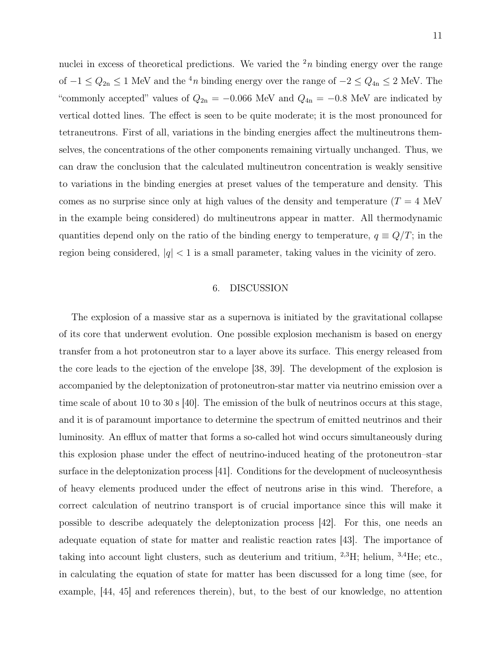nuclei in excess of theoretical predictions. We varied the  $2n$  binding energy over the range of  $-1 \le Q_{2n} \le 1$  MeV and the <sup>4</sup>n binding energy over the range of  $-2 \le Q_{4n} \le 2$  MeV. The "commonly accepted" values of  $Q_{2n} = -0.066$  MeV and  $Q_{4n} = -0.8$  MeV are indicated by vertical dotted lines. The effect is seen to be quite moderate; it is the most pronounced for tetraneutrons. First of all, variations in the binding energies affect the multineutrons themselves, the concentrations of the other components remaining virtually unchanged. Thus, we can draw the conclusion that the calculated multineutron concentration is weakly sensitive to variations in the binding energies at preset values of the temperature and density. This comes as no surprise since only at high values of the density and temperature  $(T = 4$  MeV in the example being considered) do multineutrons appear in matter. All thermodynamic quantities depend only on the ratio of the binding energy to temperature,  $q \equiv Q/T$ ; in the region being considered,  $|q| < 1$  is a small parameter, taking values in the vicinity of zero.

#### 6. DISCUSSION

The explosion of a massive star as a supernova is initiated by the gravitational collapse of its core that underwent evolution. One possible explosion mechanism is based on energy transfer from a hot protoneutron star to a layer above its surface. This energy released from the core leads to the ejection of the envelope [38, 39]. The development of the explosion is accompanied by the deleptonization of protoneutron-star matter via neutrino emission over a time scale of about 10 to 30 s [40]. The emission of the bulk of neutrinos occurs at this stage, and it is of paramount importance to determine the spectrum of emitted neutrinos and their luminosity. An efflux of matter that forms a so-called hot wind occurs simultaneously during this explosion phase under the effect of neutrino-induced heating of the protoneutron–star surface in the deleptonization process [41]. Conditions for the development of nucleosynthesis of heavy elements produced under the effect of neutrons arise in this wind. Therefore, a correct calculation of neutrino transport is of crucial importance since this will make it possible to describe adequately the deleptonization process [42]. For this, one needs an adequate equation of state for matter and realistic reaction rates [43]. The importance of taking into account light clusters, such as deuterium and tritium, <sup>2</sup>,<sup>3</sup>H; helium, <sup>3</sup>,<sup>4</sup>He; etc., in calculating the equation of state for matter has been discussed for a long time (see, for example, [44, 45] and references therein), but, to the best of our knowledge, no attention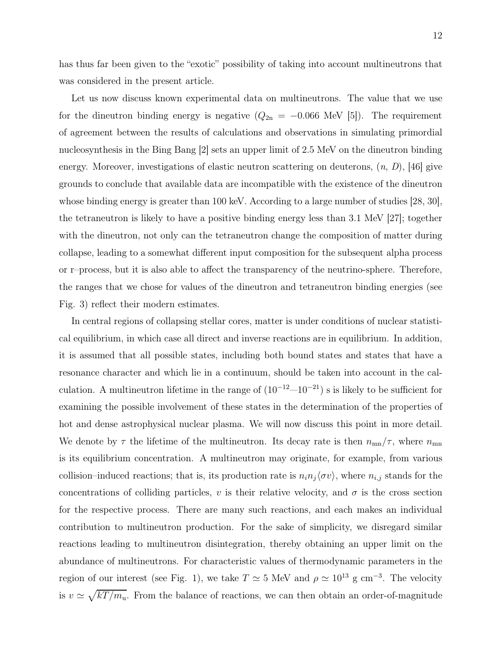has thus far been given to the "exotic" possibility of taking into account multineutrons that was considered in the present article.

Let us now discuss known experimental data on multineutrons. The value that we use for the dineutron binding energy is negative  $(Q_{2n} = -0.066 \text{ MeV} [5])$ . The requirement of agreement between the results of calculations and observations in simulating primordial nucleosynthesis in the Bing Bang [2] sets an upper limit of 2.5 MeV on the dineutron binding energy. Moreover, investigations of elastic neutron scattering on deuterons,  $(n, D)$ , [46] give grounds to conclude that available data are incompatible with the existence of the dineutron whose binding energy is greater than 100 keV. According to a large number of studies [28, 30], the tetraneutron is likely to have a positive binding energy less than 3.1 MeV [27]; together with the dineutron, not only can the tetraneutron change the composition of matter during collapse, leading to a somewhat different input composition for the subsequent alpha process or r–process, but it is also able to affect the transparency of the neutrino-sphere. Therefore, the ranges that we chose for values of the dineutron and tetraneutron binding energies (see Fig. 3) reflect their modern estimates.

In central regions of collapsing stellar cores, matter is under conditions of nuclear statistical equilibrium, in which case all direct and inverse reactions are in equilibrium. In addition, it is assumed that all possible states, including both bound states and states that have a resonance character and which lie in a continuum, should be taken into account in the calculation. A multineutron lifetime in the range of  $(10^{-12}-10^{-21})$  s is likely to be sufficient for examining the possible involvement of these states in the determination of the properties of hot and dense astrophysical nuclear plasma. We will now discuss this point in more detail. We denote by  $\tau$  the lifetime of the multineutron. Its decay rate is then  $n_{mn}/\tau$ , where  $n_{mn}$ is its equilibrium concentration. A multineutron may originate, for example, from various collision–induced reactions; that is, its production rate is  $n_i n_j \langle \sigma v \rangle$ , where  $n_{i,j}$  stands for the concentrations of colliding particles, v is their relative velocity, and  $\sigma$  is the cross section for the respective process. There are many such reactions, and each makes an individual contribution to multineutron production. For the sake of simplicity, we disregard similar reactions leading to multineutron disintegration, thereby obtaining an upper limit on the abundance of multineutrons. For characteristic values of thermodynamic parameters in the region of our interest (see Fig. 1), we take  $T \simeq 5$  MeV and  $\rho \simeq 10^{13}$  g cm<sup>-3</sup>. The velocity is  $v \simeq \sqrt{kT/m_u}$ . From the balance of reactions, we can then obtain an order-of-magnitude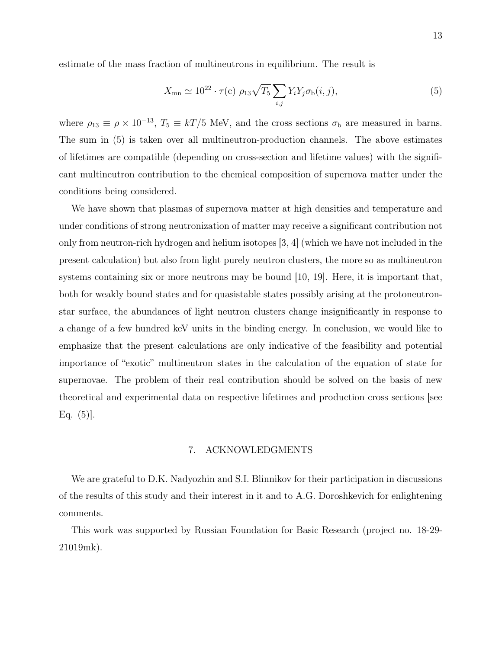estimate of the mass fraction of multineutrons in equilibrium. The result is

$$
X_{\rm mn} \simeq 10^{22} \cdot \tau(c) \rho_{13} \sqrt{T_5} \sum_{i,j} Y_i Y_j \sigma_{\rm b}(i,j), \qquad (5)
$$

where  $\rho_{13} \equiv \rho \times 10^{-13}$ ,  $T_5 \equiv kT/5$  MeV, and the cross sections  $\sigma_{\rm b}$  are measured in barns. The sum in (5) is taken over all multineutron-production channels. The above estimates of lifetimes are compatible (depending on cross-section and lifetime values) with the significant multineutron contribution to the chemical composition of supernova matter under the conditions being considered.

We have shown that plasmas of supernova matter at high densities and temperature and under conditions of strong neutronization of matter may receive a significant contribution not only from neutron-rich hydrogen and helium isotopes [3, 4] (which we have not included in the present calculation) but also from light purely neutron clusters, the more so as multineutron systems containing six or more neutrons may be bound [10, 19]. Here, it is important that, both for weakly bound states and for quasistable states possibly arising at the protoneutronstar surface, the abundances of light neutron clusters change insignificantly in response to a change of a few hundred keV units in the binding energy. In conclusion, we would like to emphasize that the present calculations are only indicative of the feasibility and potential importance of "exotic" multineutron states in the calculation of the equation of state for supernovae. The problem of their real contribution should be solved on the basis of new theoretical and experimental data on respective lifetimes and production cross sections [see Eq.  $(5)$ .

#### 7. ACKNOWLEDGMENTS

We are grateful to D.K. Nadyozhin and S.I. Blinnikov for their participation in discussions of the results of this study and their interest in it and to A.G. Doroshkevich for enlightening comments.

This work was supported by Russian Foundation for Basic Research (project no. 18-29- 21019mk).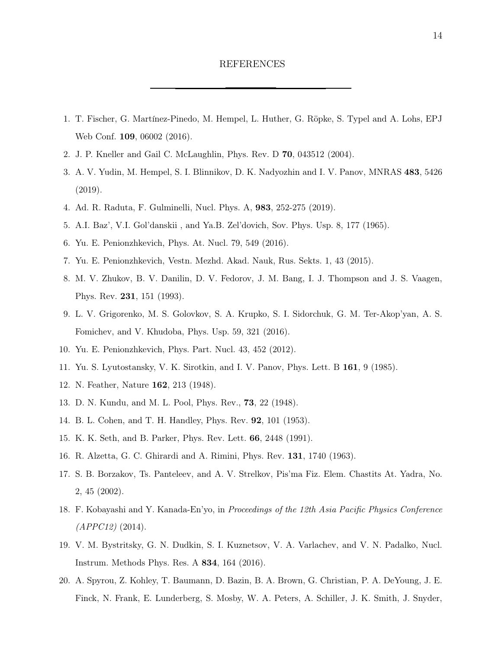#### REFERENCES

- 1. T. Fischer, G. Martínez-Pinedo, M. Hempel, L. Huther, G. Röpke, S. Typel and A. Lohs, EPJ Web Conf. 109, 06002 (2016).
- 2. J. P. Kneller and Gail C. McLaughlin, Phys. Rev. D 70, 043512 (2004).
- 3. A. V. Yudin, M. Hempel, S. I. Blinnikov, D. K. Nadyozhin and I. V. Panov, MNRAS 483, 5426 (2019).
- 4. Ad. R. Raduta, F. Gulminelli, Nucl. Phys. A, 983, 252-275 (2019).
- 5. A.I. Baz', V.I. Gol'danskii , and Ya.B. Zel'dovich, Sov. Phys. Usp. 8, 177 (1965).
- 6. Yu. E. Penionzhkevich, Phys. At. Nucl. 79, 549 (2016).
- 7. Yu. E. Penionzhkevich, Vestn. Mezhd. Akad. Nauk, Rus. Sekts. 1, 43 (2015).
- 8. M. V. Zhukov, B. V. Danilin, D. V. Fedorov, J. M. Bang, I. J. Thompson and J. S. Vaagen, Phys. Rev. 231, 151 (1993).
- 9. L. V. Grigorenko, M. S. Golovkov, S. A. Krupko, S. I. Sidorchuk, G. M. Ter-Akop'yan, A. S. Fomichev, and V. Khudoba, Phys. Usp. 59, 321 (2016).
- 10. Yu. E. Penionzhkevich, Phys. Part. Nucl. 43, 452 (2012).
- 11. Yu. S. Lyutostansky, V. K. Sirotkin, and I. V. Panov, Phys. Lett. B 161, 9 (1985).
- 12. N. Feather, Nature 162, 213 (1948).
- 13. D. N. Kundu, and M. L. Pool, Phys. Rev., 73, 22 (1948).
- 14. B. L. Cohen, and T. H. Handley, Phys. Rev. 92, 101 (1953).
- 15. K. K. Seth, and B. Parker, Phys. Rev. Lett. 66, 2448 (1991).
- 16. R. Alzetta, G. C. Ghirardi and A. Rimini, Phys. Rev. 131, 1740 (1963).
- 17. S. B. Borzakov, Ts. Panteleev, and A. V. Strelkov, Pis'ma Fiz. Elem. Chastits At. Yadra, No. 2, 45 (2002).
- 18. F. Kobayashi and Y. Kanada-En'yo, in Proceedings of the 12th Asia Pacific Physics Conference  $(APPC12)$  (2014).
- 19. V. M. Bystritsky, G. N. Dudkin, S. I. Kuznetsov, V. A. Varlachev, and V. N. Padalko, Nucl. Instrum. Methods Phys. Res. A 834, 164 (2016).
- 20. A. Spyrou, Z. Kohley, T. Baumann, D. Bazin, B. A. Brown, G. Christian, P. A. DeYoung, J. E. Finck, N. Frank, E. Lunderberg, S. Mosby, W. A. Peters, A. Schiller, J. K. Smith, J. Snyder,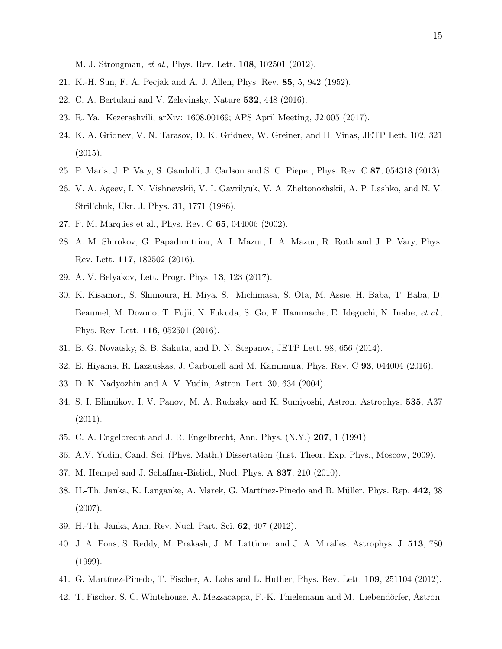M. J. Strongman, et al., Phys. Rev. Lett. 108, 102501 (2012).

- 21. K.-H. Sun, F. A. Pecjak and A. J. Allen, Phys. Rev. 85, 5, 942 (1952).
- 22. C. A. Bertulani and V. Zelevinsky, Nature 532, 448 (2016).
- 23. R. Ya. Kezerashvili, arXiv: 1608.00169; APS April Meeting, J2.005 (2017).
- 24. K. A. Gridnev, V. N. Tarasov, D. K. Gridnev, W. Greiner, and H. Vinas, JETP Lett. 102, 321 (2015).
- 25. P. Maris, J. P. Vary, S. Gandolfi, J. Carlson and S. C. Pieper, Phys. Rev. C 87, 054318 (2013).
- 26. V. A. Ageev, I. N. Vishnevskii, V. I. Gavrilyuk, V. A. Zheltonozhskii, A. P. Lashko, and N. V. Stril'chuk, Ukr. J. Phys. 31, 1771 (1986).
- 27. F. M. Marquées et al., Phys. Rev. C 65, 044006 (2002).
- 28. A. M. Shirokov, G. Papadimitriou, A. I. Mazur, I. A. Mazur, R. Roth and J. P. Vary, Phys. Rev. Lett. 117, 182502 (2016).
- 29. A. V. Belyakov, Lett. Progr. Phys. 13, 123 (2017).
- 30. K. Kisamori, S. Shimoura, H. Miya, S. Michimasa, S. Ota, M. Assie, H. Baba, T. Baba, D. Beaumel, M. Dozono, T. Fujii, N. Fukuda, S. Go, F. Hammache, E. Ideguchi, N. Inabe, et al., Phys. Rev. Lett. 116, 052501 (2016).
- 31. B. G. Novatsky, S. B. Sakuta, and D. N. Stepanov, JETP Lett. 98, 656 (2014).
- 32. E. Hiyama, R. Lazauskas, J. Carbonell and M. Kamimura, Phys. Rev. C 93, 044004 (2016).
- 33. D. K. Nadyozhin and A. V. Yudin, Astron. Lett. 30, 634 (2004).
- 34. S. I. Blinnikov, I. V. Panov, M. A. Rudzsky and K. Sumiyoshi, Astron. Astrophys. 535, A37 (2011).
- 35. C. A. Engelbrecht and J. R. Engelbrecht, Ann. Phys. (N.Y.) 207, 1 (1991)
- 36. A.V. Yudin, Cand. Sci. (Phys. Math.) Dissertation (Inst. Theor. Exp. Phys., Moscow, 2009).
- 37. M. Hempel and J. Schaffner-Bielich, Nucl. Phys. A 837, 210 (2010).
- 38. H.-Th. Janka, K. Langanke, A. Marek, G. Mart´ınez-Pinedo and B. M¨uller, Phys. Rep. 442, 38 (2007).
- 39. H.-Th. Janka, Ann. Rev. Nucl. Part. Sci. 62, 407 (2012).
- 40. J. A. Pons, S. Reddy, M. Prakash, J. M. Lattimer and J. A. Miralles, Astrophys. J. 513, 780 (1999).
- 41. G. Martínez-Pinedo, T. Fischer, A. Lohs and L. Huther, Phys. Rev. Lett. **109**, 251104 (2012).
- 42. T. Fischer, S. C. Whitehouse, A. Mezzacappa, F.-K. Thielemann and M. Liebendörfer, Astron.